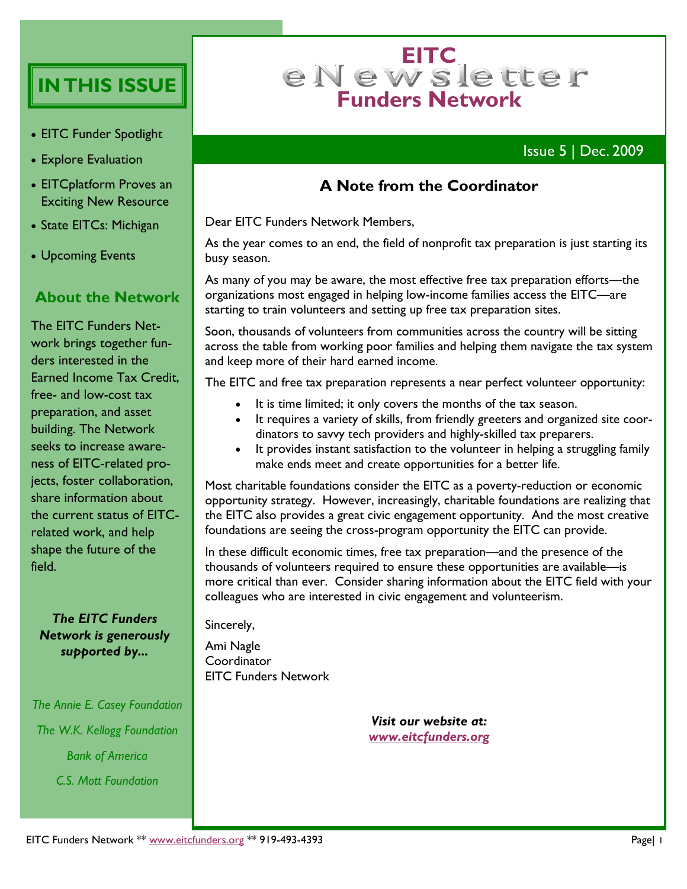# **IN THIS ISSUE**

- EITC Funder Spotlight
- Explore Evaluation
- EITCplatform Proves an Exciting New Resource
- State EITCs: Michigan
- Upcoming Events

#### **About the Network**

The EITC Funders Network brings together funders interested in the Earned Income Tax Credit, free- and low-cost tax preparation, and asset building. The Network seeks to increase awareness of EITC-related projects, foster collaboration, share information about the current status of EITCrelated work, and help shape the future of the field.

#### *The EITC Funders Network is generously supported by...*

*The Annie E. Casey Foundation The W.K. Kellogg Foundation Bank of America C.S. Mott Foundation*

# e N e w s le tter **Funders Network**

### Issue 5 | Dec. 2009

#### **A Note from the Coordinator**

Dear EITC Funders Network Members,

As the year comes to an end, the field of nonprofit tax preparation is just starting its busy season.

As many of you may be aware, the most effective free tax preparation efforts—the organizations most engaged in helping low-income families access the EITC—are starting to train volunteers and setting up free tax preparation sites.

Soon, thousands of volunteers from communities across the country will be sitting across the table from working poor families and helping them navigate the tax system and keep more of their hard earned income.

The EITC and free tax preparation represents a near perfect volunteer opportunity:

- It is time limited; it only covers the months of the tax season.
- It requires a variety of skills, from friendly greeters and organized site coordinators to savvy tech providers and highly-skilled tax preparers.
- It provides instant satisfaction to the volunteer in helping a struggling family make ends meet and create opportunities for a better life.

Most charitable foundations consider the EITC as a poverty-reduction or economic opportunity strategy. However, increasingly, charitable foundations are realizing that the EITC also provides a great civic engagement opportunity. And the most creative foundations are seeing the cross-program opportunity the EITC can provide.

In these difficult economic times, free tax preparation—and the presence of the thousands of volunteers required to ensure these opportunities are available—is more critical than ever. Consider sharing information about the EITC field with your colleagues who are interested in civic engagement and volunteerism.

Sincerely,

Ami Nagle **Coordinator** EITC Funders Network

> *Visit our website at: [www.eitcfunders.org](http://www.eitcfunders.org/)*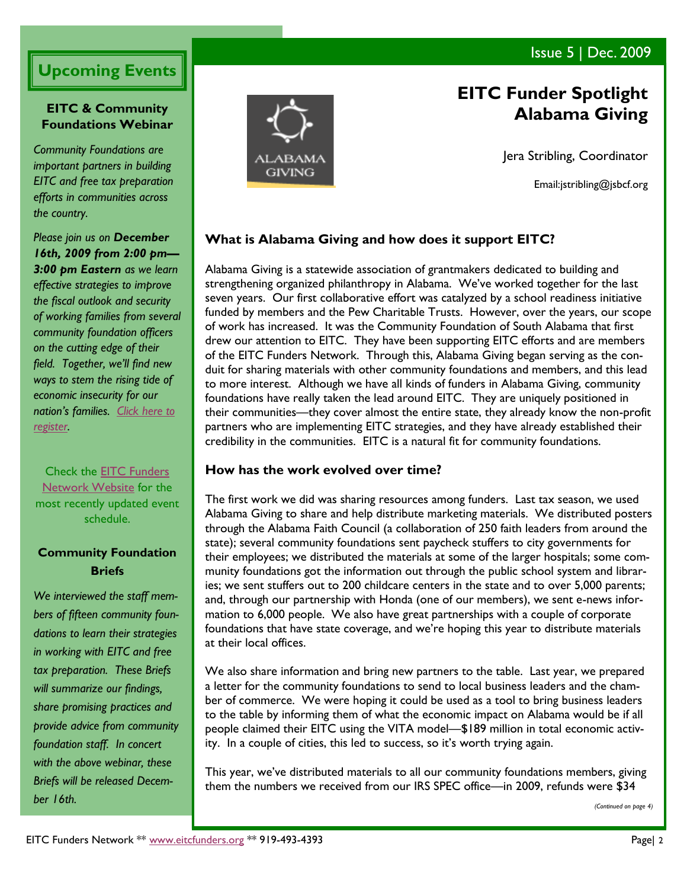### Issue 5 | Dec. 2009

# **Upcoming Events**

#### **EITC & Community Foundations Webinar**

*Community Foundations are important partners in building EITC and free tax preparation efforts in communities across the country.*

*Please join us on December 16th, 2009 from 2:00 pm— 3:00 pm Eastern as we learn effective strategies to improve the fiscal outlook and security of working families from several community foundation officers on the cutting edge of their field. Together, we'll find new ways to stem the rising tide of economic insecurity for our nation's families. [Click here to](http://survey.constantcontact.com/survey/a07e2monlu0g1xuqxvi/start)  [register.](http://survey.constantcontact.com/survey/a07e2monlu0g1xuqxvi/start)*

Check the [EITC Funders](http://eitcfunders.org/upcoming.html)  [Network Website](http://eitcfunders.org/upcoming.html) for the most recently updated event schedule.

#### **Community Foundation Briefs**

*We interviewed the staff members of fifteen community foundations to learn their strategies in working with EITC and free tax preparation. These Briefs will summarize our findings, share promising practices and provide advice from community foundation staff. In concert with the above webinar, these Briefs will be released December 16th.*



# **EITC Funder Spotlight Alabama Giving**

Jera Stribling, Coordinator

Email:jstribling@jsbcf.org

#### **What is Alabama Giving and how does it support EITC?**

Alabama Giving is a statewide association of grantmakers dedicated to building and strengthening organized philanthropy in Alabama. We've worked together for the last seven years. Our first collaborative effort was catalyzed by a school readiness initiative funded by members and the Pew Charitable Trusts. However, over the years, our scope of work has increased. It was the Community Foundation of South Alabama that first drew our attention to EITC. They have been supporting EITC efforts and are members of the EITC Funders Network. Through this, Alabama Giving began serving as the conduit for sharing materials with other community foundations and members, and this lead to more interest. Although we have all kinds of funders in Alabama Giving, community foundations have really taken the lead around EITC. They are uniquely positioned in their communities—they cover almost the entire state, they already know the non-profit partners who are implementing EITC strategies, and they have already established their credibility in the communities. EITC is a natural fit for community foundations.

#### **How has the work evolved over time?**

The first work we did was sharing resources among funders. Last tax season, we used Alabama Giving to share and help distribute marketing materials. We distributed posters through the Alabama Faith Council (a collaboration of 250 faith leaders from around the state); several community foundations sent paycheck stuffers to city governments for their employees; we distributed the materials at some of the larger hospitals; some community foundations got the information out through the public school system and libraries; we sent stuffers out to 200 childcare centers in the state and to over 5,000 parents; and, through our partnership with Honda (one of our members), we sent e-news information to 6,000 people. We also have great partnerships with a couple of corporate foundations that have state coverage, and we're hoping this year to distribute materials at their local offices.

We also share information and bring new partners to the table. Last year, we prepared a letter for the community foundations to send to local business leaders and the chamber of commerce. We were hoping it could be used as a tool to bring business leaders to the table by informing them of what the economic impact on Alabama would be if all people claimed their EITC using the VITA model—\$189 million in total economic activity. In a couple of cities, this led to success, so it's worth trying again.

This year, we've distributed materials to all our community foundations members, giving them the numbers we received from our IRS SPEC office—in 2009, refunds were \$34

*(Continued on page 4)*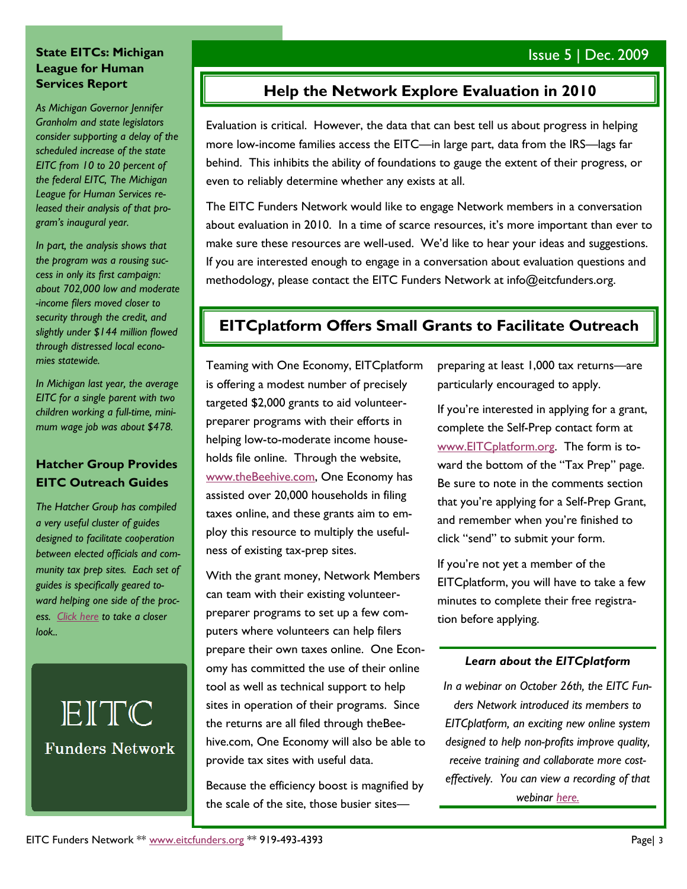#### **State EITCs: Michigan League for Human Services Report**

*As Michigan Governor Jennifer Granholm and state legislators consider supporting a delay of the scheduled increase of the state EITC from 10 to 20 percent of the federal EITC, The Michigan League for Human Services released their analysis of that program's inaugural year.*

*In part, the analysis shows that the program was a rousing success in only its first campaign: about 702,000 low and moderate -income filers moved closer to security through the credit, and slightly under \$144 million flowed through distressed local economies statewide.*

*In Michigan last year, the average EITC for a single parent with two children working a full-time, minimum wage job was about \$478.*

#### **Hatcher Group Provides EITC Outreach Guides**

*The Hatcher Group has compiled a very useful cluster of guides designed to facilitate cooperation between elected officials and community tax prep sites. Each set of guides is specifically geared toward helping one side of the process. [Click here](http://www.thehatchergroup.com/EITCoutreach.html) to take a closer look..*

# EITC **Funders Network**

## **Help the Network Explore Evaluation in 2010**

Evaluation is critical. However, the data that can best tell us about progress in helping more low-income families access the EITC—in large part, data from the IRS—lags far behind. This inhibits the ability of foundations to gauge the extent of their progress, or even to reliably determine whether any exists at all.

The EITC Funders Network would like to engage Network members in a conversation about evaluation in 2010. In a time of scarce resources, it's more important than ever to make sure these resources are well-used. We'd like to hear your ideas and suggestions. If you are interested enough to engage in a conversation about evaluation questions and methodology, please contact the EITC Funders Network at info@eitcfunders.org.

## **EITCplatform Offers Small Grants to Facilitate Outreach**

Teaming with One Economy, EITCplatform is offering a modest number of precisely targeted \$2,000 grants to aid volunteerpreparer programs with their efforts in helping low-to-moderate income households file online. Through the website, [www.theBeehive.com,](http://www.theBeehive.com) One Economy has assisted over 20,000 households in filing taxes online, and these grants aim to employ this resource to multiply the usefulness of existing tax-prep sites.

With the grant money, Network Members can team with their existing volunteerpreparer programs to set up a few computers where volunteers can help filers prepare their own taxes online. One Economy has committed the use of their online tool as well as technical support to help sites in operation of their programs. Since the returns are all filed through theBeehive.com, One Economy will also be able to provide tax sites with useful data.

Because the efficiency boost is magnified by the scale of the site, those busier sitespreparing at least 1,000 tax returns—are particularly encouraged to apply.

If you're interested in applying for a grant, complete the Self-Prep contact form at [www.EITCplatform.org.](http://www.EITCplatform.org) The form is toward the bottom of the "Tax Prep" page. Be sure to note in the comments section that you're applying for a Self-Prep Grant, and remember when you're finished to click "send" to submit your form.

If you're not yet a member of the EITCplatform, you will have to take a few minutes to complete their free registration before applying.

#### *Learn about the EITCplatform*

*In a webinar on October 26th, the EITC Funders Network introduced its members to EITCplatform, an exciting new online system designed to help non-profits improve quality, receive training and collaborate more costeffectively. You can view a recording of that webinar [here.](http://eitcfunders.org/videos/200910261301EITCPlatformWebinarImprovingQualityatFreeTaxPreparationSit.asf)*